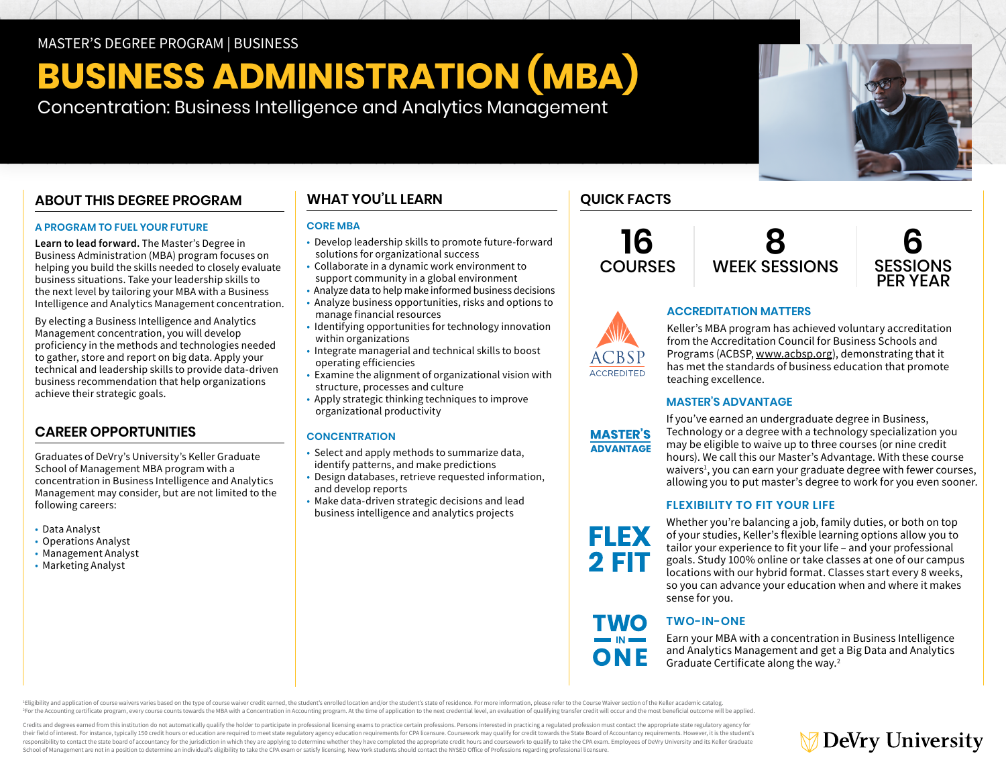## MASTER'S DEGREE PROGRAM | BUSINESS

# **BUSINESS ADMINISTRATION (MBA)**

Concentration: Business Intelligence and Analytics Management

# **ABOUT THIS DEGREE PROGRAM**

## **A PROGRAM TO FUEL YOUR FUTURE**

**Learn to lead forward.** The Master's Degree in Business Administration (MBA) program focuses on helping you build the skills needed to closely evaluate business situations. Take your leadership skills to the next level by tailoring your MBA with a Business Intelligence and Analytics Management concentration.

By electing a Business Intelligence and Analytics Management concentration, you will develop proficiency in the methods and technologies needed to gather, store and report on big data. Apply your technical and leadership skills to provide data-driven business recommendation that help organizations achieve their strategic goals.

## **CAREER OPPORTUNITIES**

Graduates of DeVry's University's Keller Graduate School of Management MBA program with a concentration in Business Intelligence and Analytics Management may consider, but are not limited to the following careers:

- Data Analyst
- Operations Analyst
- Management Analyst
- Marketing Analyst

# **WHAT YOU'LL LEARN**

## **CORE MBA**

- Develop leadership skills to promote future-forward solutions for organizational success
- Collaborate in a dynamic work environment to support community in a global environment
- Analyze data to help make informed business decisions
- Analyze business opportunities, risks and options to manage financial resources
- Identifying opportunities for technology innovation within organizations
- Integrate managerial and technical skills to boost operating efficiencies
- Examine the alignment of organizational vision with structure, processes and culture
- Apply strategic thinking techniques to improve organizational productivity

## **CONCENTRATION**

- Select and apply methods to summarize data, identify patterns, and make predictions
- Design databases, retrieve requested information, and develop reports
- Make data-driven strategic decisions and lead business intelligence and analytics projects

# **QUICK FACTS**

**16 COURSES** 





# **ACCREDITATION MATTERS**

Keller's MBA program has achieved voluntary accreditation from the Accreditation Council for Business Schools and Programs (ACBSP, [www.acbsp.org](https://www.acbsp.org)), demonstrating that it has met the standards of business education that promote teaching excellence.

## **MASTER'S ADVANTAGE**



**FI FX** 

**2 FIT** 

**TWO** 

ONE

**ACCREDITED** 

If you've earned an undergraduate degree in Business, Technology or a degree with a technology specialization you may be eligible to waive up to three courses (or nine credit hours). We call this our Master's Advantage. With these course waivers<sup>1</sup>, you can earn your graduate degree with fewer courses, allowing you to put master's degree to work for you even sooner.

## **FLEXIBILITY TO FIT YOUR LIFE**

Whether you're balancing a job, family duties, or both on top of your studies, Keller's flexible learning options allow you to tailor your experience to fit your life – and your professional goals. Study 100% online or take classes at one of our campus locations with our hybrid format. Classes start every 8 weeks, so you can advance your education when and where it makes sense for you.

# **TWO-IN-ONE**

Earn your MBA with a concentration in Business Intelligence and Analytics Management and get a Big Data and Analytics Graduate Certificate along the way.2

Eligibility and application of course waivers varies based on the type of course waiver credit earned, the student's enrolled location and/or the student's state of residence. For more information, please refer to the Cour For the Accounting certificate program, every course counts towards the MBA with a Concentration in Accounting program. At the time of application to the next credential level, an evaluation of qualifying transfer credit w

Credits and degrees earned from this institution do not automatically qualify the holder to participate in professional licensing exams to practice certain professions. Persons interested in practicing a regulated professi their field of interest. For instance, typically 150 credit hours or education are required to meet state regulatory agency education requirements for CPA licensure. Coursework may qualify for credit towards the State Boar responsibility to contact the state board of accountancy for the jurisdiction in which they are applying to determine whether they have completed the appropriate credit hours and coursework to qualify to take the CPA exam. School of Management are not in a position to determine an individual's eligibility to take the CPA exam or satisfy licensing. New York students should contact the NYSED Office of Professions regarding professional licensu